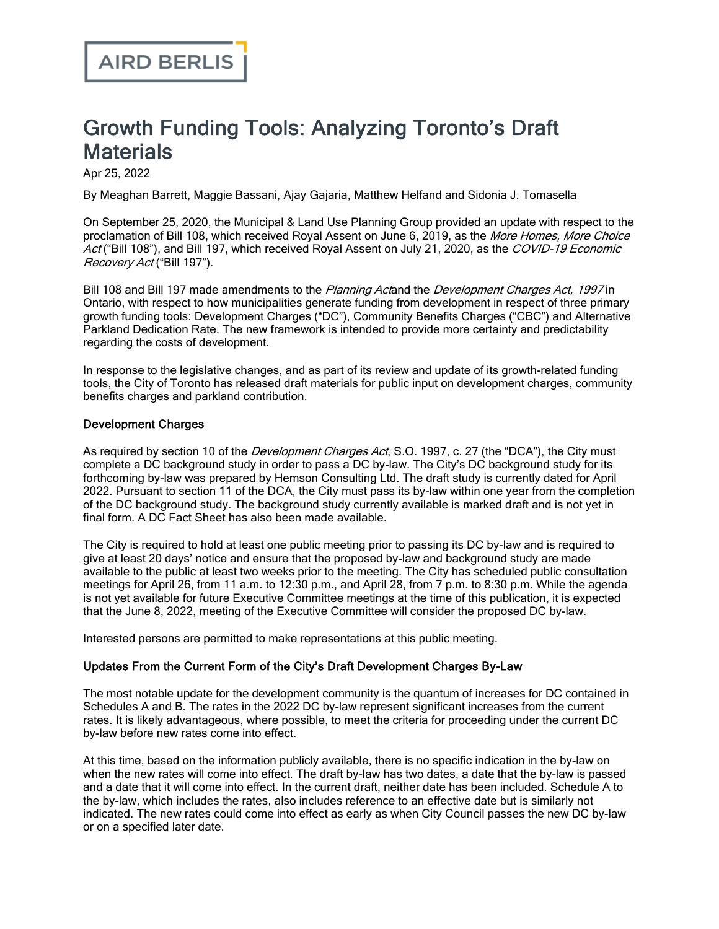# Growth Funding Tools: Analyzing Toronto's Draft **Materials**

Apr 25, 2022

By Meaghan Barrett, Maggie Bassani, Ajay Gajaria, Matthew Helfand and Sidonia J. Tomasella

On September 25, 2020, the Municipal & Land Use Planning Group [provided](https://www.airdberlis.com/insights/publications/publication/community-benefits-development-charges-and-parkland-dedication-the-new-framework) an update with respect to the proclamation of Bill 108, which received Royal Assent on June 6, 2019, as the More Homes, More Choice Act ("Bill 108"), and Bill 197, which received Royal Assent on July 21, 2020, as the COVID-19 Economic Recovery Act ("Bill 197").

Bill 108 and Bill 197 made amendments to the Planning Actand the Development Charges Act, 1997 in Ontario, with respect to how municipalities generate funding from development in respect of three primary growth funding tools: Development Charges ("DC"), Community Benefits Charges ("CBC") and Alternative Parkland Dedication Rate. The new framework is intended to provide more certainty and predictability regarding the costs of development.

In response to the legislative changes, and as part of its review and update of its growth-related funding tools, the City of Toronto has released draft materials for public input on development charges, community benefits charges and parkland contribution.

#### Development Charges

As required by section 10 of the *Development Charges Act*, S.O. 1997, c. 27 (the "DCA"), the City must complete a DC background study in order to pass a DC by-law. The City's DC [background](https://www.airdberlis.com/docs/default-source/default-document-library/1-8e7e-dc-background-study-draft-april-2022e7a53f826168616da574ff000044313a.pdf) study for its [forthcoming](https://www.airdberlis.com/docs/default-source/default-document-library/2-9642-dc-by-law-draft-april-2022.pdf) by-law was prepared by Hemson Consulting Ltd. The draft study is currently dated for April 2022. Pursuant to section 11 of the DCA, the City must pass its by-law within one year from the completion of the DC background study. The background study currently available is marked draft and is not yet in final form. A DC Fact [Sheet](https://www.airdberlis.com/docs/default-source/default-document-library/3-8f47-dc-fact-sheet-april-2022.pdf) has also been made available.

The City is required to hold at least one public meeting prior to passing its DC by-law and is required to give at least 20 days' notice and ensure that the proposed by-law and background study are made available to the public at least two weeks prior to the meeting. The City has scheduled public consultation meetings for April 26, from 11 a.m. to 12:30 p.m., and April 28, from 7 p.m. to 8:30 p.m. While the agenda is not yet available for future Executive Committee meetings at the time of this publication, it is expected that the June 8, 2022, meeting of the Executive Committee will consider the proposed DC by-law.

Interested persons are permitted to make representations at this public meeting.

# Updates From the Current Form of the City's Draft Development Charges By-Law

The most notable update for the development community is the quantum of increases for DC contained in [Schedules](https://www.airdberlis.com/docs/default-source/default-document-library/2-9642-dc-by-law-draft-april-2022.pdf) A and B. The rates in the 2022 DC by-law represent significant increases from the current rates. It is likely advantageous, where possible, to meet the criteria for proceeding under the current DC by-law before new rates come into effect.

At this time, based on the information publicly available, there is no specific indication in the by-law on when the new rates will come into effect. The draft by-law has two dates, a date that the by-law is passed and a date that it will come into effect. In the current draft, neither date has been included. Schedule A to the by-law, which includes the rates, also includes reference to an effective date but is similarly not indicated. The new rates could come into effect as early as when City Council passes the new DC by-law or on a specified later date.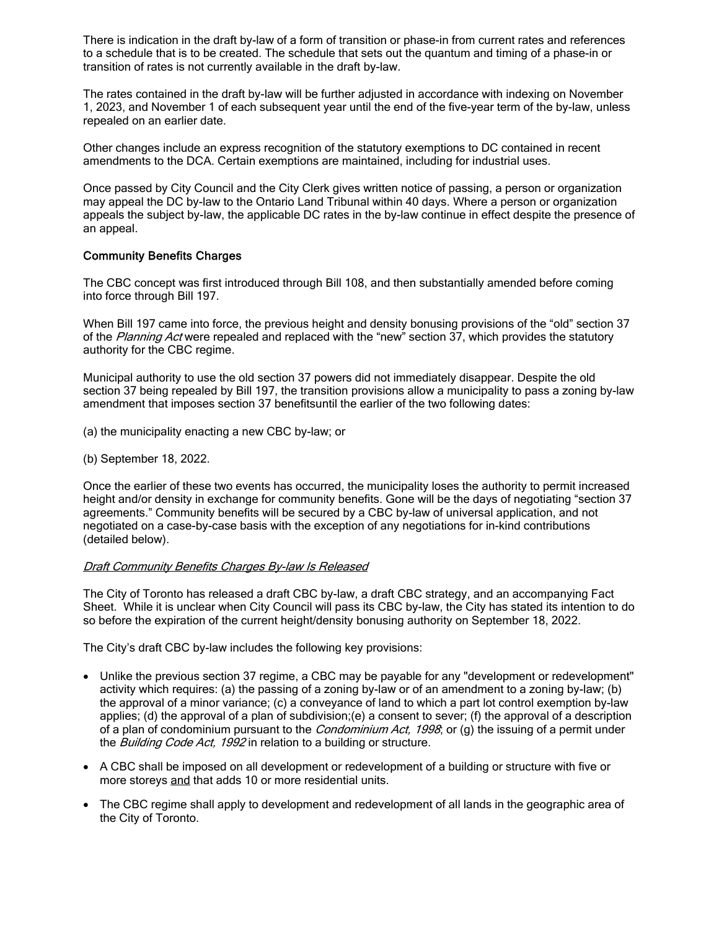There is indication in the draft by-law of a form of transition or phase-in from current rates and references to a schedule that is to be created. The schedule that sets out the quantum and timing of a phase-in or transition of rates is not currently available in the draft by-law.

The rates contained in the draft by-law will be further adjusted in accordance with indexing on November 1, 2023, and November 1 of each subsequent year until the end of the five-year term of the by-law, unless repealed on an earlier date.

Other changes include an express recognition of the statutory exemptions to DC contained in recent amendments to the DCA. Certain exemptions are maintained, including for industrial uses.

Once passed by City Council and the City Clerk gives written notice of passing, a person or organization may appeal the DC by-law to the Ontario Land Tribunal within 40 days. Where a person or organization appeals the subject by-law, the applicable DC rates in the by-law continue in effect despite the presence of an appeal.

#### Community Benefits Charges

The CBC concept was first [introduced](https://www.airdberlis.com/insights/publications/publication/bill-108-summary-of-key-amendments-to-planning-act-and-local-planning-appeal-tribunal-act) through Bill 108, and then [substantially](https://www.airdberlis.com/insights/publications/publication/ontario-proposes-amendments-to-a-number-of-statutes-affecting-municipalities-and-the-development-industry) amended before coming into force through Bill 197.

When Bill 197 came into force, the previous height and density bonusing provisions of the "old" section 37 of the Planning Act were repealed and replaced with the "new" section 37, which provides the statutory authority for the CBC regime.

Municipal authority to use the old section 37 powers did not immediately disappear. Despite the old section 37 being repealed by Bill 197, the transition provisions allow a municipality to pass a zoning by-law amendment that imposes section 37 benefitsuntil the earlier of the two following dates:

- (a) the municipality enacting a new CBC by-law; or
- (b) September 18, 2022.

Once the earlier of these two events has occurred, the municipality loses the authority to permit increased height and/or density in exchange for community benefits. Gone will be the days of negotiating "section 37 agreements." Community benefits will be secured by a CBC by-law of universal application, and not negotiated on a case-by-case basis with the exception of any negotiations for in-kind contributions (detailed below).

#### **Draft Community Benefits Charges By-law Is Released**

The City of Toronto has released a draft CBC [by-law](https://www.airdberlis.com/docs/default-source/default-document-library/5-8e64-cbc-by-law-draft-april-2022.pdf), a draft CBC [strategy,](https://www.airdberlis.com/docs/default-source/default-document-library/4-968a-cbc-strategy-draft-april-2022.pdf) and an accompanying [Fact](https://www.airdberlis.com/docs/default-source/default-document-library/6-8761-cbc-fact-sheet-april-2022.pdf) [Sheet.](https://www.airdberlis.com/docs/default-source/default-document-library/6-8761-cbc-fact-sheet-april-2022.pdf) While it is unclear when City Council will pass its CBC by-law, the City has stated its intention to do so before the expiration of the current height/density bonusing authority on September 18, 2022.

The City's draft CBC by-law includes the following key provisions:

- · Unlike the previous section 37 regime, a CBC may be payable for any "development or redevelopment" activity which requires: (a) the passing of a zoning by-law or of an amendment to a zoning by-law; (b) the approval of a minor variance; (c) a conveyance of land to which a part lot control exemption by-law applies; (d) the approval of a plan of subdivision;(e) a consent to sever; (f) the approval of a description of a plan of condominium pursuant to the *Condominium Act, 1998*; or (g) the issuing of a permit under the *Building Code Act, 1992* in relation to a building or structure.
- · A CBC shall be imposed on all development or redevelopment of a building or structure with five or more storeys and that adds 10 or more residential units.
- · The CBC regime shall apply to development and redevelopment of all lands in the geographic area of the City of Toronto.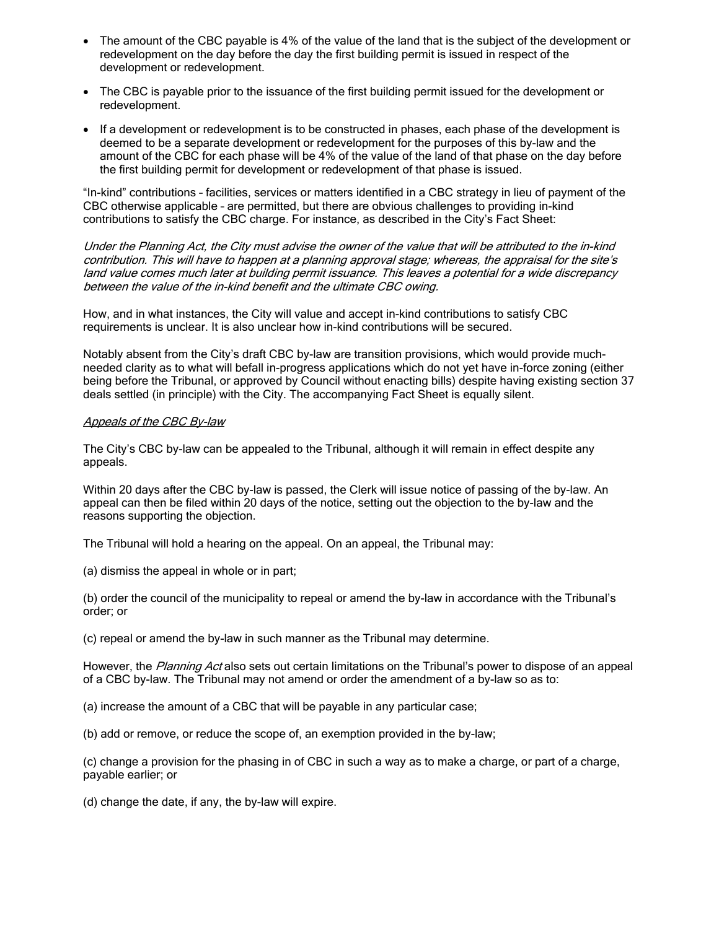- · The amount of the CBC payable is 4% of the value of the land that is the subject of the development or redevelopment on the day before the day the first building permit is issued in respect of the development or redevelopment.
- · The CBC is payable prior to the issuance of the first building permit issued for the development or redevelopment.
- · If a development or redevelopment is to be constructed in phases, each phase of the development is deemed to be a separate development or redevelopment for the purposes of this by-law and the amount of the CBC for each phase will be 4% of the value of the land of that phase on the day before the first building permit for development or redevelopment of that phase is issued.

"In-kind" contributions – facilities, services or matters identified in a CBC strategy in lieu of payment of the CBC otherwise applicable – are permitted, but there are obvious challenges to providing in-kind contributions to satisfy the CBC charge. For instance, as described in the City's Fact [Sheet:](https://www.airdberlis.com/docs/default-source/default-document-library/6-8761-cbc-fact-sheet-april-2022.pdf)

Under the Planning Act, the City must advise the owner of the value that will be attributed to the in-kind contribution. This will have to happen at <sup>a</sup> planning approval stage; whereas, the appraisal for the site's land value comes much later at building permit issuance. This leaves <sup>a</sup> potential for <sup>a</sup> wide discrepancy between the value of the in-kind benefit and the ultimate CBC owing.

How, and in what instances, the City will value and accept in-kind contributions to satisfy CBC requirements is unclear. It is also unclear how in-kind contributions will be secured.

Notably absent from the City's draft CBC by-law are transition provisions, which would provide muchneeded clarity as to what will befall in-progress applications which do not yet have in-force zoning (either being before the Tribunal, or approved by Council without enacting bills) despite having existing section 37 deals settled (in principle) with the City. The accompanying Fact Sheet is equally silent.

#### Appeals of the CBC By-law

The City's CBC by-law can be appealed to the Tribunal, although it will remain in effect despite any appeals.

Within 20 days after the CBC by-law is passed, the Clerk will issue notice of passing of the by-law. An appeal can then be filed within 20 days of the notice, setting out the objection to the by-law and the reasons supporting the objection.

The Tribunal will hold a hearing on the appeal. On an appeal, the Tribunal may:

(a) dismiss the appeal in whole or in part;

(b) order the council of the municipality to repeal or amend the by-law in accordance with the Tribunal's order; or

(c) repeal or amend the by-law in such manner as the Tribunal may determine.

However, the Planning Act also sets out certain limitations on the Tribunal's power to dispose of an appeal of a CBC by-law. The Tribunal may not amend or order the amendment of a by-law so as to:

(a) increase the amount of a CBC that will be payable in any particular case;

(b) add or remove, or reduce the scope of, an exemption provided in the by-law;

(c) change a provision for the phasing in of CBC in such a way as to make a charge, or part of a charge, payable earlier; or

(d) change the date, if any, the by-law will expire.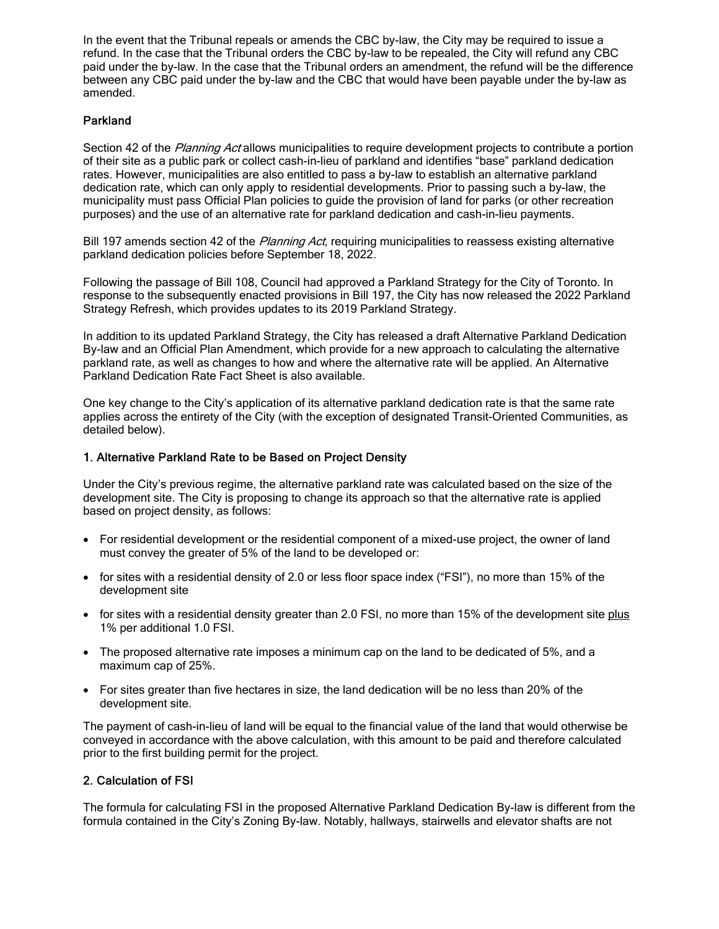In the event that the Tribunal repeals or amends the CBC by-law, the City may be required to issue a refund. In the case that the Tribunal orders the CBC by-law to be repealed, the City will refund any CBC paid under the by-law. In the case that the Tribunal orders an amendment, the refund will be the difference between any CBC paid under the by-law and the CBC that would have been payable under the by-law as amended.

# Parkland

Section 42 of the Planning Act allows municipalities to require development projects to contribute a portion of their site as a public park or collect cash-in-lieu of parkland and identifies "base" parkland dedication rates. However, municipalities are also entitled to pass a by-law to establish an alternative parkland dedication rate, which can only apply to residential developments. Prior to passing such a by-law, the municipality must pass Official Plan policies to guide the provision of land for parks (or other recreation purposes) and the use of an alternative rate for parkland dedication and cash-in-lieu payments.

Bill 197 amends section 42 of the *Planning Act*, requiring municipalities to reassess existing alternative parkland dedication policies before September 18, 2022.

Following the passage of Bill [108,](https://www.airdberlis.com/insights/publications/publication/bill-108-summary-of-key-amendments-to-planning-act-and-local-planning-appeal-tribunal-act) Council had approved a Parkland Strategy for the City of Toronto. In response to the subsequently enacted provisions in Bill 197, the City has now released the 2022 [Parkland](https://www.airdberlis.com/docs/default-source/default-document-library/7-969f-parkland-strategy-draft-april-2022-refresh.pdf) [Strategy](https://www.airdberlis.com/docs/default-source/default-document-library/7-969f-parkland-strategy-draft-april-2022-refresh.pdf) Refresh, which provides updates to its 2019 Parkland Strategy.

In addition to its updated Parkland Strategy, the City has released a draft Alternative Parkland [Dedication](https://www.airdberlis.com/docs/default-source/default-document-library/9-9649-alternative-parkland-dedication-rate-by-law-draft-april-2022.pdf) [By-law](https://www.airdberlis.com/docs/default-source/default-document-library/9-9649-alternative-parkland-dedication-rate-by-law-draft-april-2022.pdf) and an Official Plan [Amendment,](https://www.airdberlis.com/docs/default-source/default-document-library/8-8ed9-alternative-parkland-dedication-rate-2022-draft-official-plan-amendm.pdf) which provide for a new approach to calculating the alternative parkland rate, as well as changes to how and where the alternative rate will be applied. An [Alternative](https://www.airdberlis.com/docs/default-source/default-document-library/10-8f0f-parkland-fact-sheet-april-2022.pdf) Parkland [Dedication](https://www.airdberlis.com/docs/default-source/default-document-library/10-8f0f-parkland-fact-sheet-april-2022.pdf) Rate Fact Sheet is also available.

One key change to the City's application of its alternative parkland dedication rate is that the same rate applies across the entirety of the City (with the exception of designated Transit-Oriented Communities, as detailed below).

# 1. Alternative Parkland Rate to be Based on Project Density

Under the City's previous regime, the alternative parkland rate was calculated based on the size of the development site. The City is proposing to change its approach so that the alternative rate is applied based on project density, as follows:

- · For residential development or the residential component of a mixed-use project, the owner of land must convey the greater of 5% of the land to be developed or:
- for sites with a residential density of 2.0 or less floor space index ("FSI"), no more than 15% of the development site
- · for sites with a residential density greater than 2.0 FSI, no more than 15% of the development site plus 1% per additional 1.0 FSI.
- · The proposed alternative rate imposes a minimum cap on the land to be dedicated of 5%, and a maximum cap of 25%.
- · For sites greater than five hectares in size, the land dedication will be no less than 20% of the development site.

The payment of cash-in-lieu of land will be equal to the financial value of the land that would otherwise be conveyed in accordance with the above calculation, with this amount to be paid and therefore calculated prior to the first building permit for the project.

# 2. Calculation of FSI

The formula for calculating FSI in the proposed Alternative Parkland Dedication By-law is different from the formula contained in the City's Zoning By-law. Notably, hallways, stairwells and elevator shafts are not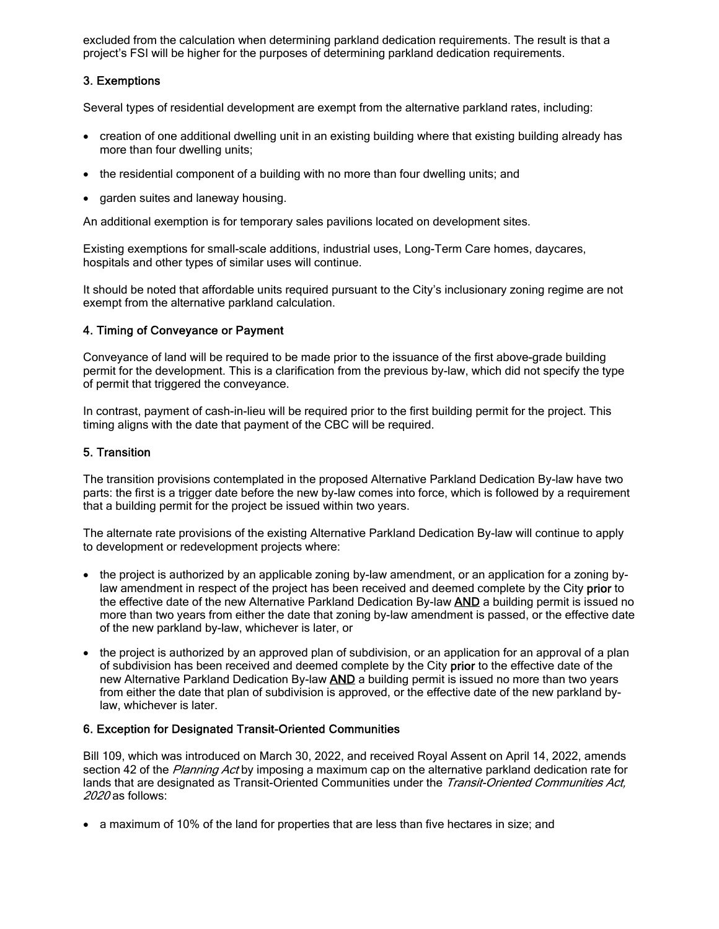excluded from the calculation when determining parkland dedication requirements. The result is that a project's FSI will be higher for the purposes of determining parkland dedication requirements.

# 3. Exemptions

Several types of residential development are exempt from the alternative parkland rates, including:

- · creation of one additional dwelling unit in an existing building where that existing building already has more than four dwelling units;
- · the residential component of a building with no more than four dwelling units; and
- garden suites and laneway housing.

An additional exemption is for temporary sales pavilions located on development sites.

Existing exemptions for small-scale additions, industrial uses, Long-Term Care homes, daycares, hospitals and other types of similar uses will continue.

It should be noted that affordable units required pursuant to the City's inclusionary zoning regime are not exempt from the alternative parkland calculation.

#### 4. Timing of Conveyance or Payment

Conveyance of land will be required to be made prior to the issuance of the first above-grade building permit for the development. This is a clarification from the previous by-law, which did not specify the type of permit that triggered the conveyance.

In contrast, payment of cash-in-lieu will be required prior to the first building permit for the project. This timing aligns with the date that payment of the CBC will be required.

#### 5. Transition

The transition provisions contemplated in the proposed Alternative Parkland Dedication By-law have two parts: the first is a trigger date before the new by-law comes into force, which is followed by a requirement that a building permit for the project be issued within two years.

The alternate rate provisions of the existing Alternative Parkland Dedication By-law will continue to apply to development or redevelopment projects where:

- · the project is authorized by an applicable zoning by-law amendment, or an application for a zoning bylaw amendment in respect of the project has been received and deemed complete by the City prior to the effective date of the new Alternative Parkland Dedication By-law **AND** a building permit is issued no more than two years from either the date that zoning by-law amendment is passed, or the effective date of the new parkland by-law, whichever is later, or
- · the project is authorized by an approved plan of subdivision, or an application for an approval of a plan of subdivision has been received and deemed complete by the City prior to the effective date of the new Alternative Parkland Dedication By-law AND a building permit is issued no more than two years from either the date that plan of subdivision is approved, or the effective date of the new parkland bylaw, whichever is later.

#### 6. Exception for Designated Transit-Oriented Communities

Bill 109, which was introduced on March 30, 2022, and received Royal Assent on April 14, 2022, amends section 42 of the Planning Act by imposing a maximum cap on the alternative parkland dedication rate for lands that are designated as Transit-Oriented Communities under the Transit-Oriented Communities Act, 2020 as follows:

· a maximum of 10% of the land for properties that are less than five hectares in size; and